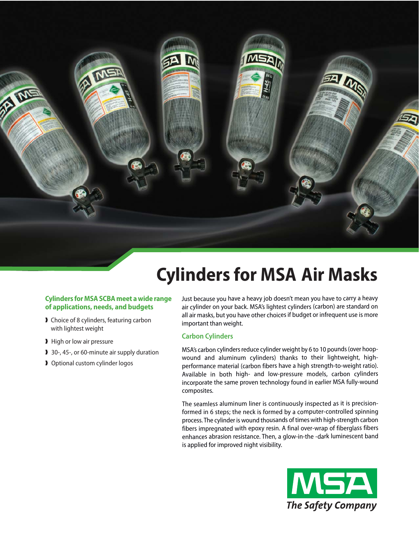**Cylinders for MSA Air Masks**

### **Cylinders for MSA SCBA meet a wide range of applications, needs, and budgets**

- ❱ Choice of 8 cylinders, featuring carbon with lightest weight
- **I** High or low air pressure

**RA ME** 

- 30-, 45-, or 60-minute air supply duration
- ▶ Optional custom cylinder logos

Just because you have a heavy job doesn't mean you have to carry a heavy air cylinder on your back. MSA's lightest cylinders (carbon) are standard on all air masks, but you have other choices if budget or infrequent use is more important than weight.

#### **Carbon Cylinders**

MSA's carbon cylinders reduce cylinder weight by 6 to 10 pounds (over hoopwound and aluminum cylinders) thanks to their lightweight, highperformance material (carbon fibers have a high strength-to-weight ratio). Available in both high- and low-pressure models, carbon cylinders incorporate the same proven technology found in earlier MSA fully-wound composites.

The seamless aluminum liner is continuously inspected as it is precisionformed in 6 steps; the neck is formed by a computer-controlled spinning process. The cylinder is wound thousands of times with high-strength carbon fibers impregnated with epoxy resin. A final over-wrap of fiberglass fibers enhances abrasion resistance. Then, a glow-in-the -dark luminescent band is applied for improved night visibility.

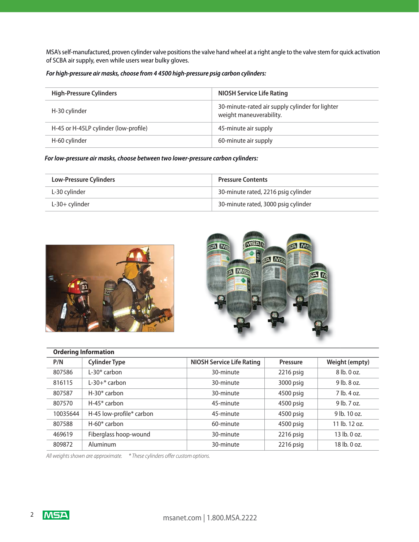MSA's self-manufactured, proven cylinder valve positions the valve hand wheel at a right angle to the valve stem for quick activation of SCBA air supply, even while users wear bulky gloves.

*For high-pressure air masks, choose from 4 4500 high-pressure psig carbon cylinders:*

| <b>High-Pressure Cylinders</b>        | <b>NIOSH Service Life Rating</b>                                           |  |
|---------------------------------------|----------------------------------------------------------------------------|--|
| H-30 cylinder                         | 30-minute-rated air supply cylinder for lighter<br>weight maneuverability. |  |
| H-45 or H-45LP cylinder (low-profile) | 45-minute air supply                                                       |  |
| H-60 cylinder                         | 60-minute air supply                                                       |  |

*For low-pressure air masks, choose between two lower-pressure carbon cylinders:*

| <b>Low-Pressure Cylinders</b> | <b>Pressure Contents</b>            |  |
|-------------------------------|-------------------------------------|--|
| L-30 cylinder                 | 30-minute rated, 2216 psig cylinder |  |
| $L-30+$ cylinder              | 30-minute rated, 3000 psig cylinder |  |





| <b>Ordering Information</b> |                          |                                  |                 |                 |  |
|-----------------------------|--------------------------|----------------------------------|-----------------|-----------------|--|
| P/N                         | <b>Cylinder Type</b>     | <b>NIOSH Service Life Rating</b> | <b>Pressure</b> | Weight (empty)  |  |
| 807586                      | $L-30*$ carbon           | 30-minute                        | 2216 psig       | 8 lb. 0 oz.     |  |
| 816115                      | $L-30+*$ carbon          | 30-minute                        | 3000 psig       | $9$ lb. $8$ oz. |  |
| 807587                      | $H-30*$ carbon           | 30-minute                        | 4500 psig       | 7 lb. 4 oz.     |  |
| 807570                      | $H-45*$ carbon           | 45-minute                        | 4500 psig       | $9$ lb. $7$ oz. |  |
| 10035644                    | H-45 low-profile* carbon | 45-minute                        | 4500 psig       | 9 lb. 10 oz.    |  |
| 807588                      | $H-60*$ carbon           | 60-minute                        | 4500 psig       | 11 lb. 12 oz.   |  |
| 469619                      | Fiberglass hoop-wound    | 30-minute                        | 2216 psig       | 13 lb. 0 oz.    |  |
| 809872                      | Aluminum                 | 30-minute                        | $2216$ psig     | 18 lb. 0 oz.    |  |

All weights shown are approximate. \* These cylinders offer custom options.

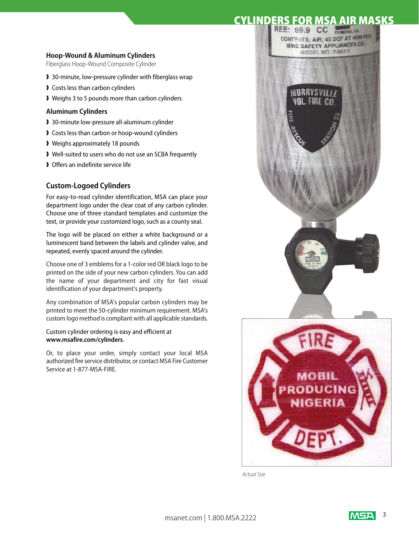# **CYLINDERS FOR MSA AIR MASKS**

#### **Hoop-Wound & Aluminum Cylinders**

Fiberglass Hoop-Wound Composite Cylinder

- ▶ 30-minute, low-pressure cylinder with fiberglass wrap
- ❱ Costs less than carbon cylinders
- ❱ Weighs 3 to 5 pounds more than carbon cylinders

#### **Aluminum Cylinders**

- ❱ 30-minute low-pressure all-aluminum cylinder
- ▶ Costs less than carbon or hoop-wound cylinders
- ❱ Weighs approximately 18 pounds
- ❱ Well-suited to users who do not use an SCBA frequently
- ❱ Offers an indefinite service life

### **Custom-Logoed Cylinders**

For easy-to-read cylinder identification, MSA can place your department logo under the clear coat of any carbon cylinder. Choose one of three standard templates and customize the text, or provide your customized logo, such as a county seal.

The logo will be placed on either a white background or a luminescent band between the labels and cylinder valve, and repeated, evenly spaced around the cylinder.

Choose one of 3 emblems for a 1-color red OR black logo to be printed on the side of your new carbon cylinders. You can add the name of your department and city for fast visual identification of your department's property.

Any combination of MSA's popular carbon cylinders may be printed to meet the 50-cylinder minimum requirement. MSA's custom logo method is compliant with all applicable standards.

#### Custom cylinder ordering is easy and efficient at **www.msafire.com/cylinders**.

Or, to place your order, simply contact your local MSA authorized fire service distributor, or contact MSA Fire Customer Service at 1-877-MSA-FIRE.



Actual Size